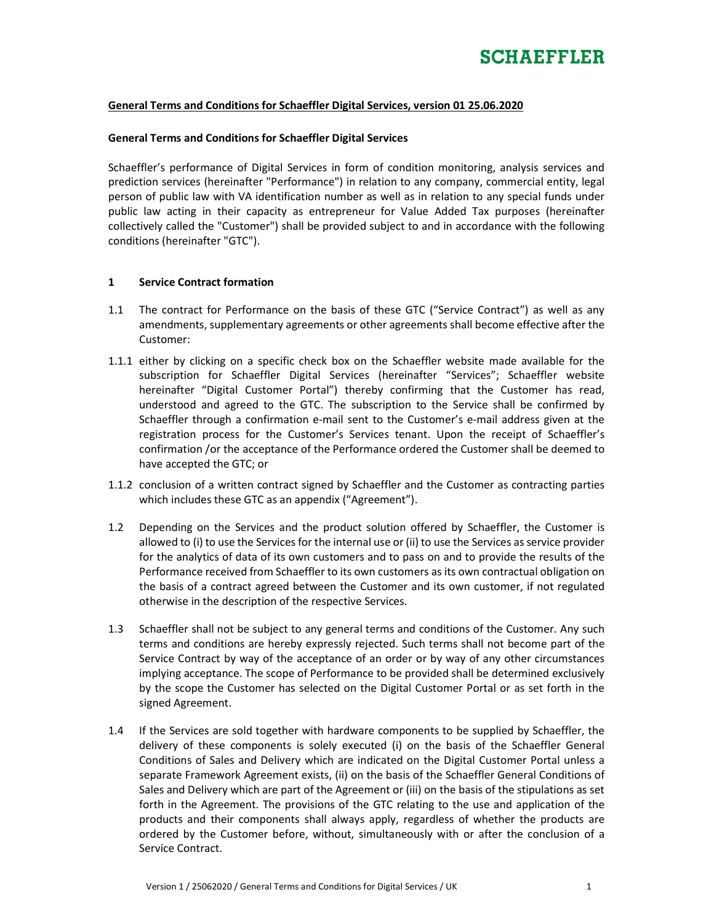

## General Terms and Conditions for Schaeffler Digital Services, version 01 25.06.2020

### General Terms and Conditions for Schaeffler Digital Services

Schaeffler's performance of Digital Services in form of condition monitoring, analysis services and prediction services (hereinafter "Performance") in relation to any company, commercial entity, legal person of public law with VA identification number as well as in relation to any special funds under public law acting in their capacity as entrepreneur for Value Added Tax purposes (hereinafter collectively called the "Customer") shall be provided subject to and in accordance with the following conditions (hereinafter "GTC").

### 1 Service Contract formation

- 1.1 The contract for Performance on the basis of these GTC ("Service Contract") as well as any amendments, supplementary agreements or other agreements shall become effective after the Customer:
- 1.1.1 either by clicking on a specific check box on the Schaeffler website made available for the subscription for Schaeffler Digital Services (hereinafter "Services"; Schaeffler website hereinafter "Digital Customer Portal") thereby confirming that the Customer has read, understood and agreed to the GTC. The subscription to the Service shall be confirmed by Schaeffler through a confirmation e-mail sent to the Customer's e-mail address given at the registration process for the Customer's Services tenant. Upon the receipt of Schaeffler's confirmation /or the acceptance of the Performance ordered the Customer shall be deemed to have accepted the GTC; or
- 1.1.2 conclusion of a written contract signed by Schaeffler and the Customer as contracting parties which includes these GTC as an appendix ("Agreement").
- 1.2 Depending on the Services and the product solution offered by Schaeffler, the Customer is allowed to (i) to use the Services for the internal use or (ii) to use the Services as service provider for the analytics of data of its own customers and to pass on and to provide the results of the Performance received from Schaeffler to its own customers as its own contractual obligation on the basis of a contract agreed between the Customer and its own customer, if not regulated otherwise in the description of the respective Services.
- 1.3 Schaeffler shall not be subject to any general terms and conditions of the Customer. Any such terms and conditions are hereby expressly rejected. Such terms shall not become part of the Service Contract by way of the acceptance of an order or by way of any other circumstances implying acceptance. The scope of Performance to be provided shall be determined exclusively by the scope the Customer has selected on the Digital Customer Portal or as set forth in the signed Agreement.
- 1.4 If the Services are sold together with hardware components to be supplied by Schaeffler, the delivery of these components is solely executed (i) on the basis of the Schaeffler General Conditions of Sales and Delivery which are indicated on the Digital Customer Portal unless a separate Framework Agreement exists, (ii) on the basis of the Schaeffler General Conditions of Sales and Delivery which are part of the Agreement or (iii) on the basis of the stipulations as set forth in the Agreement. The provisions of the GTC relating to the use and application of the products and their components shall always apply, regardless of whether the products are ordered by the Customer before, without, simultaneously with or after the conclusion of a Service Contract.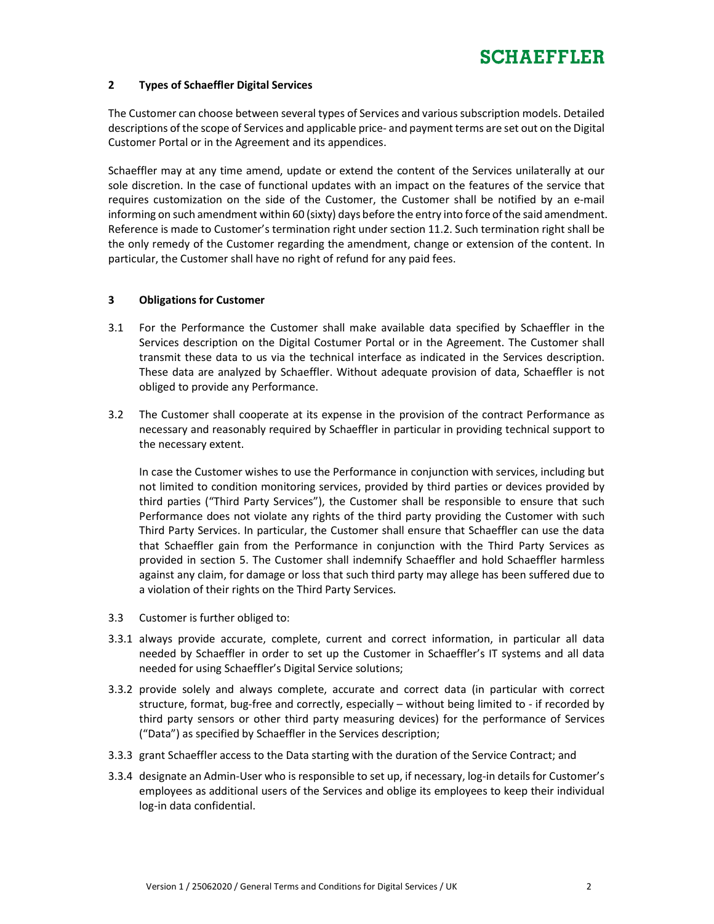## 2 Types of Schaeffler Digital Services

The Customer can choose between several types of Services and various subscription models. Detailed descriptions of the scope of Services and applicable price- and payment terms are set out on the Digital Customer Portal or in the Agreement and its appendices.

Schaeffler may at any time amend, update or extend the content of the Services unilaterally at our sole discretion. In the case of functional updates with an impact on the features of the service that requires customization on the side of the Customer, the Customer shall be notified by an e-mail informing on such amendment within 60 (sixty) days before the entry into force of the said amendment. Reference is made to Customer's termination right under section 11.2. Such termination right shall be the only remedy of the Customer regarding the amendment, change or extension of the content. In particular, the Customer shall have no right of refund for any paid fees.

### 3 Obligations for Customer

- 3.1 For the Performance the Customer shall make available data specified by Schaeffler in the Services description on the Digital Costumer Portal or in the Agreement. The Customer shall transmit these data to us via the technical interface as indicated in the Services description. These data are analyzed by Schaeffler. Without adequate provision of data, Schaeffler is not obliged to provide any Performance.
- 3.2 The Customer shall cooperate at its expense in the provision of the contract Performance as necessary and reasonably required by Schaeffler in particular in providing technical support to the necessary extent.

In case the Customer wishes to use the Performance in conjunction with services, including but not limited to condition monitoring services, provided by third parties or devices provided by third parties ("Third Party Services"), the Customer shall be responsible to ensure that such Performance does not violate any rights of the third party providing the Customer with such Third Party Services. In particular, the Customer shall ensure that Schaeffler can use the data that Schaeffler gain from the Performance in conjunction with the Third Party Services as provided in section 5. The Customer shall indemnify Schaeffler and hold Schaeffler harmless against any claim, for damage or loss that such third party may allege has been suffered due to a violation of their rights on the Third Party Services.

- 3.3 Customer is further obliged to:
- 3.3.1 always provide accurate, complete, current and correct information, in particular all data needed by Schaeffler in order to set up the Customer in Schaeffler's IT systems and all data needed for using Schaeffler's Digital Service solutions;
- 3.3.2 provide solely and always complete, accurate and correct data (in particular with correct structure, format, bug-free and correctly, especially – without being limited to - if recorded by third party sensors or other third party measuring devices) for the performance of Services ("Data") as specified by Schaeffler in the Services description;
- 3.3.3 grant Schaeffler access to the Data starting with the duration of the Service Contract; and
- 3.3.4 designate an Admin-User who is responsible to set up, if necessary, log-in details for Customer's employees as additional users of the Services and oblige its employees to keep their individual log-in data confidential.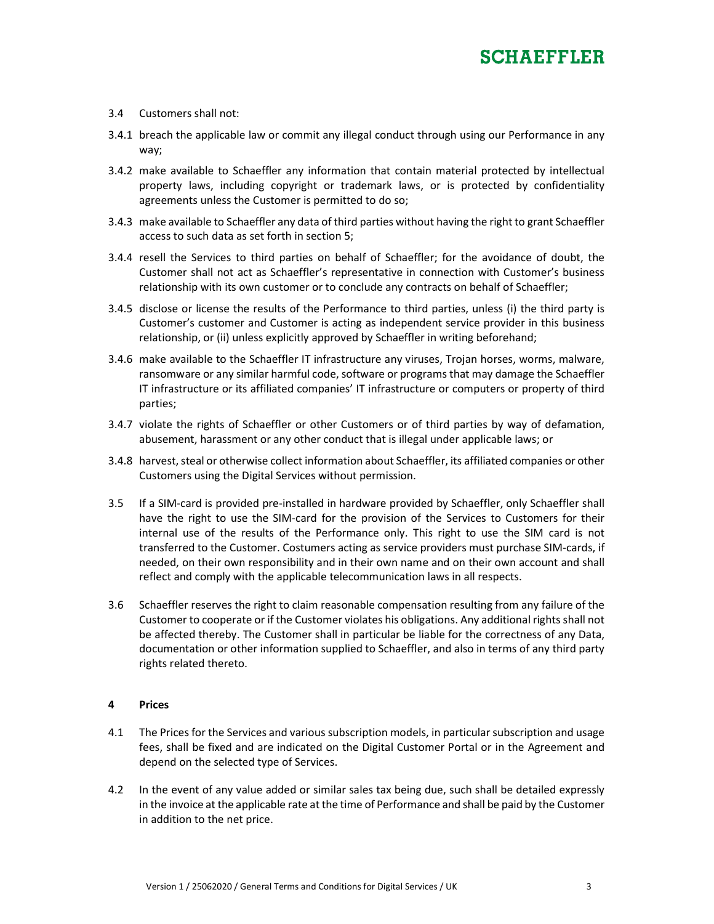- 3.4 Customers shall not:
- 3.4.1 breach the applicable law or commit any illegal conduct through using our Performance in any way;
- 3.4.2 make available to Schaeffler any information that contain material protected by intellectual property laws, including copyright or trademark laws, or is protected by confidentiality agreements unless the Customer is permitted to do so;
- 3.4.3 make available to Schaeffler any data of third parties without having the right to grant Schaeffler access to such data as set forth in section 5;
- 3.4.4 resell the Services to third parties on behalf of Schaeffler; for the avoidance of doubt, the Customer shall not act as Schaeffler's representative in connection with Customer's business relationship with its own customer or to conclude any contracts on behalf of Schaeffler;
- 3.4.5 disclose or license the results of the Performance to third parties, unless (i) the third party is Customer's customer and Customer is acting as independent service provider in this business relationship, or (ii) unless explicitly approved by Schaeffler in writing beforehand;
- 3.4.6 make available to the Schaeffler IT infrastructure any viruses, Trojan horses, worms, malware, ransomware or any similar harmful code, software or programs that may damage the Schaeffler IT infrastructure or its affiliated companies' IT infrastructure or computers or property of third parties;
- 3.4.7 violate the rights of Schaeffler or other Customers or of third parties by way of defamation, abusement, harassment or any other conduct that is illegal under applicable laws; or
- 3.4.8 harvest, steal or otherwise collect information about Schaeffler, its affiliated companies or other Customers using the Digital Services without permission.
- 3.5 If a SIM-card is provided pre-installed in hardware provided by Schaeffler, only Schaeffler shall have the right to use the SIM-card for the provision of the Services to Customers for their internal use of the results of the Performance only. This right to use the SIM card is not transferred to the Customer. Costumers acting as service providers must purchase SIM-cards, if needed, on their own responsibility and in their own name and on their own account and shall reflect and comply with the applicable telecommunication laws in all respects.
- 3.6 Schaeffler reserves the right to claim reasonable compensation resulting from any failure of the Customer to cooperate or if the Customer violates his obligations. Any additional rights shall not be affected thereby. The Customer shall in particular be liable for the correctness of any Data, documentation or other information supplied to Schaeffler, and also in terms of any third party rights related thereto.

## 4 Prices

- 4.1 The Prices for the Services and various subscription models, in particular subscription and usage fees, shall be fixed and are indicated on the Digital Customer Portal or in the Agreement and depend on the selected type of Services.
- 4.2 In the event of any value added or similar sales tax being due, such shall be detailed expressly in the invoice at the applicable rate at the time of Performance and shall be paid by the Customer in addition to the net price.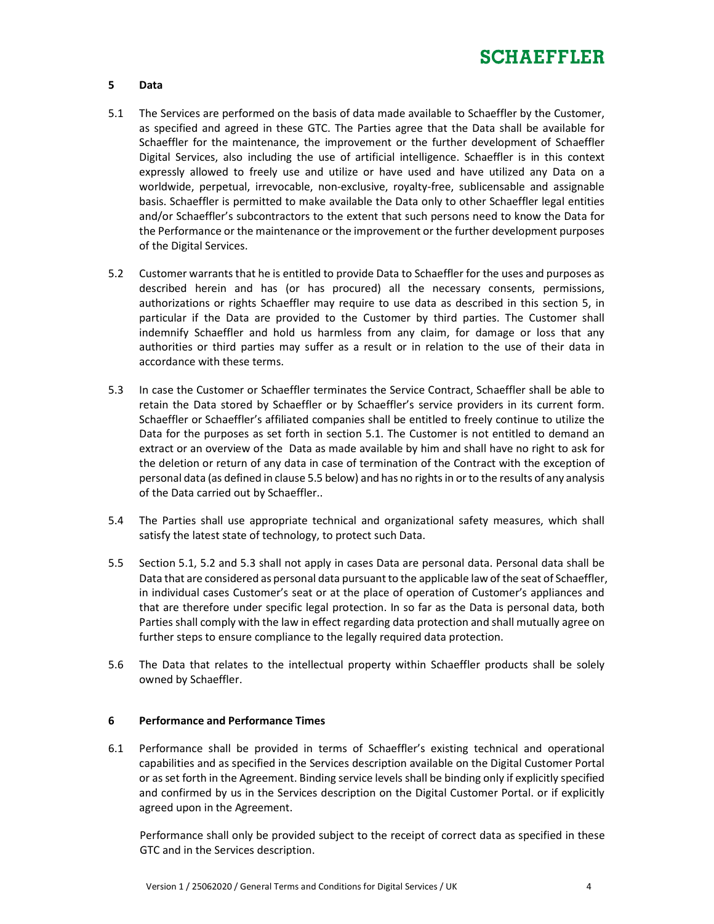## 5 Data

- 5.1 The Services are performed on the basis of data made available to Schaeffler by the Customer, as specified and agreed in these GTC. The Parties agree that the Data shall be available for Schaeffler for the maintenance, the improvement or the further development of Schaeffler Digital Services, also including the use of artificial intelligence. Schaeffler is in this context expressly allowed to freely use and utilize or have used and have utilized any Data on a worldwide, perpetual, irrevocable, non-exclusive, royalty-free, sublicensable and assignable basis. Schaeffler is permitted to make available the Data only to other Schaeffler legal entities and/or Schaeffler's subcontractors to the extent that such persons need to know the Data for the Performance or the maintenance or the improvement or the further development purposes of the Digital Services.
- 5.2 Customer warrants that he is entitled to provide Data to Schaeffler for the uses and purposes as described herein and has (or has procured) all the necessary consents, permissions, authorizations or rights Schaeffler may require to use data as described in this section 5, in particular if the Data are provided to the Customer by third parties. The Customer shall indemnify Schaeffler and hold us harmless from any claim, for damage or loss that any authorities or third parties may suffer as a result or in relation to the use of their data in accordance with these terms.
- 5.3 In case the Customer or Schaeffler terminates the Service Contract, Schaeffler shall be able to retain the Data stored by Schaeffler or by Schaeffler's service providers in its current form. Schaeffler or Schaeffler's affiliated companies shall be entitled to freely continue to utilize the Data for the purposes as set forth in section 5.1. The Customer is not entitled to demand an extract or an overview of the Data as made available by him and shall have no right to ask for the deletion or return of any data in case of termination of the Contract with the exception of personal data (as defined in clause 5.5 below) and has no rights in or to the results of any analysis of the Data carried out by Schaeffler..
- 5.4 The Parties shall use appropriate technical and organizational safety measures, which shall satisfy the latest state of technology, to protect such Data.
- 5.5 Section 5.1, 5.2 and 5.3 shall not apply in cases Data are personal data. Personal data shall be Data that are considered as personal data pursuant to the applicable law of the seat of Schaeffler, in individual cases Customer's seat or at the place of operation of Customer's appliances and that are therefore under specific legal protection. In so far as the Data is personal data, both Parties shall comply with the law in effect regarding data protection and shall mutually agree on further steps to ensure compliance to the legally required data protection.
- 5.6 The Data that relates to the intellectual property within Schaeffler products shall be solely owned by Schaeffler.

### 6 Performance and Performance Times

6.1 Performance shall be provided in terms of Schaeffler's existing technical and operational capabilities and as specified in the Services description available on the Digital Customer Portal or as set forth in the Agreement. Binding service levels shall be binding only if explicitly specified and confirmed by us in the Services description on the Digital Customer Portal. or if explicitly agreed upon in the Agreement.

Performance shall only be provided subject to the receipt of correct data as specified in these GTC and in the Services description.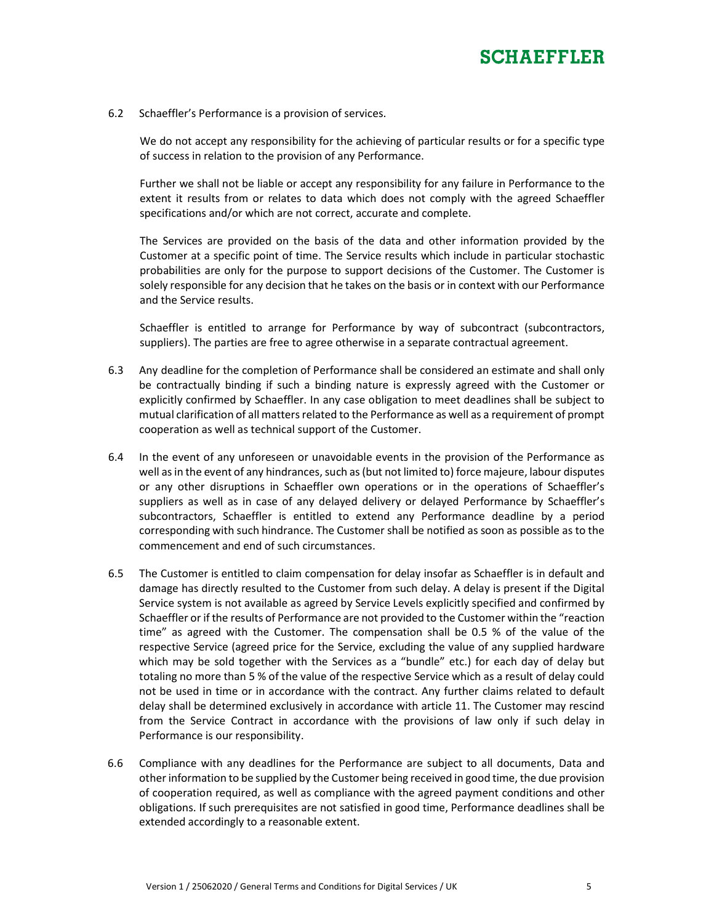

6.2 Schaeffler's Performance is a provision of services.

We do not accept any responsibility for the achieving of particular results or for a specific type of success in relation to the provision of any Performance.

Further we shall not be liable or accept any responsibility for any failure in Performance to the extent it results from or relates to data which does not comply with the agreed Schaeffler specifications and/or which are not correct, accurate and complete.

The Services are provided on the basis of the data and other information provided by the Customer at a specific point of time. The Service results which include in particular stochastic probabilities are only for the purpose to support decisions of the Customer. The Customer is solely responsible for any decision that he takes on the basis or in context with our Performance and the Service results.

Schaeffler is entitled to arrange for Performance by way of subcontract (subcontractors, suppliers). The parties are free to agree otherwise in a separate contractual agreement.

- 6.3 Any deadline for the completion of Performance shall be considered an estimate and shall only be contractually binding if such a binding nature is expressly agreed with the Customer or explicitly confirmed by Schaeffler. In any case obligation to meet deadlines shall be subject to mutual clarification of all matters related to the Performance as well as a requirement of prompt cooperation as well as technical support of the Customer.
- 6.4 In the event of any unforeseen or unavoidable events in the provision of the Performance as well as in the event of any hindrances, such as (but not limited to) force majeure, labour disputes or any other disruptions in Schaeffler own operations or in the operations of Schaeffler's suppliers as well as in case of any delayed delivery or delayed Performance by Schaeffler's subcontractors, Schaeffler is entitled to extend any Performance deadline by a period corresponding with such hindrance. The Customer shall be notified as soon as possible as to the commencement and end of such circumstances.
- 6.5 The Customer is entitled to claim compensation for delay insofar as Schaeffler is in default and damage has directly resulted to the Customer from such delay. A delay is present if the Digital Service system is not available as agreed by Service Levels explicitly specified and confirmed by Schaeffler or if the results of Performance are not provided to the Customer within the "reaction time" as agreed with the Customer. The compensation shall be 0.5 % of the value of the respective Service (agreed price for the Service, excluding the value of any supplied hardware which may be sold together with the Services as a "bundle" etc.) for each day of delay but totaling no more than 5 % of the value of the respective Service which as a result of delay could not be used in time or in accordance with the contract. Any further claims related to default delay shall be determined exclusively in accordance with article 11. The Customer may rescind from the Service Contract in accordance with the provisions of law only if such delay in Performance is our responsibility.
- 6.6 Compliance with any deadlines for the Performance are subject to all documents, Data and other information to be supplied by the Customer being received in good time, the due provision of cooperation required, as well as compliance with the agreed payment conditions and other obligations. If such prerequisites are not satisfied in good time, Performance deadlines shall be extended accordingly to a reasonable extent.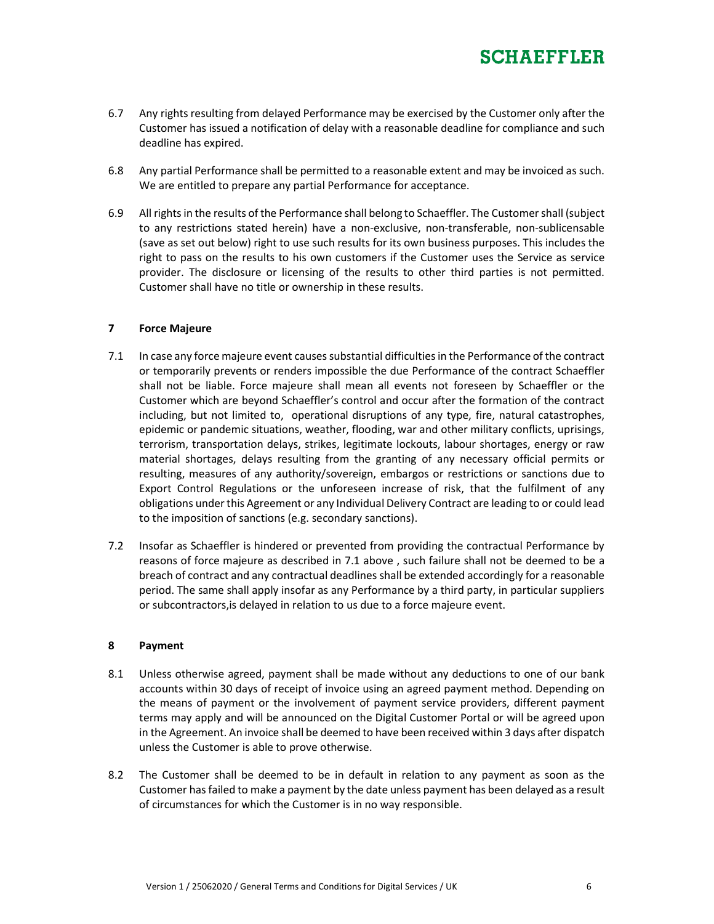- 6.7 Any rights resulting from delayed Performance may be exercised by the Customer only after the Customer has issued a notification of delay with a reasonable deadline for compliance and such deadline has expired.
- 6.8 Any partial Performance shall be permitted to a reasonable extent and may be invoiced as such. We are entitled to prepare any partial Performance for acceptance.
- 6.9 All rights in the results of the Performance shall belong to Schaeffler. The Customer shall (subject to any restrictions stated herein) have a non-exclusive, non-transferable, non-sublicensable (save as set out below) right to use such results for its own business purposes. This includes the right to pass on the results to his own customers if the Customer uses the Service as service provider. The disclosure or licensing of the results to other third parties is not permitted. Customer shall have no title or ownership in these results.

### 7 Force Majeure

- 7.1 In case any force majeure event causes substantial difficulties in the Performance of the contract or temporarily prevents or renders impossible the due Performance of the contract Schaeffler shall not be liable. Force majeure shall mean all events not foreseen by Schaeffler or the Customer which are beyond Schaeffler's control and occur after the formation of the contract including, but not limited to, operational disruptions of any type, fire, natural catastrophes, epidemic or pandemic situations, weather, flooding, war and other military conflicts, uprisings, terrorism, transportation delays, strikes, legitimate lockouts, labour shortages, energy or raw material shortages, delays resulting from the granting of any necessary official permits or resulting, measures of any authority/sovereign, embargos or restrictions or sanctions due to Export Control Regulations or the unforeseen increase of risk, that the fulfilment of any obligations under this Agreement or any Individual Delivery Contract are leading to or could lead to the imposition of sanctions (e.g. secondary sanctions).
- 7.2 Insofar as Schaeffler is hindered or prevented from providing the contractual Performance by reasons of force majeure as described in 7.1 above , such failure shall not be deemed to be a breach of contract and any contractual deadlines shall be extended accordingly for a reasonable period. The same shall apply insofar as any Performance by a third party, in particular suppliers or subcontractors,is delayed in relation to us due to a force majeure event.

#### 8 Payment

- 8.1 Unless otherwise agreed, payment shall be made without any deductions to one of our bank accounts within 30 days of receipt of invoice using an agreed payment method. Depending on the means of payment or the involvement of payment service providers, different payment terms may apply and will be announced on the Digital Customer Portal or will be agreed upon in the Agreement. An invoice shall be deemed to have been received within 3 days after dispatch unless the Customer is able to prove otherwise.
- 8.2 The Customer shall be deemed to be in default in relation to any payment as soon as the Customer has failed to make a payment by the date unless payment has been delayed as a result of circumstances for which the Customer is in no way responsible.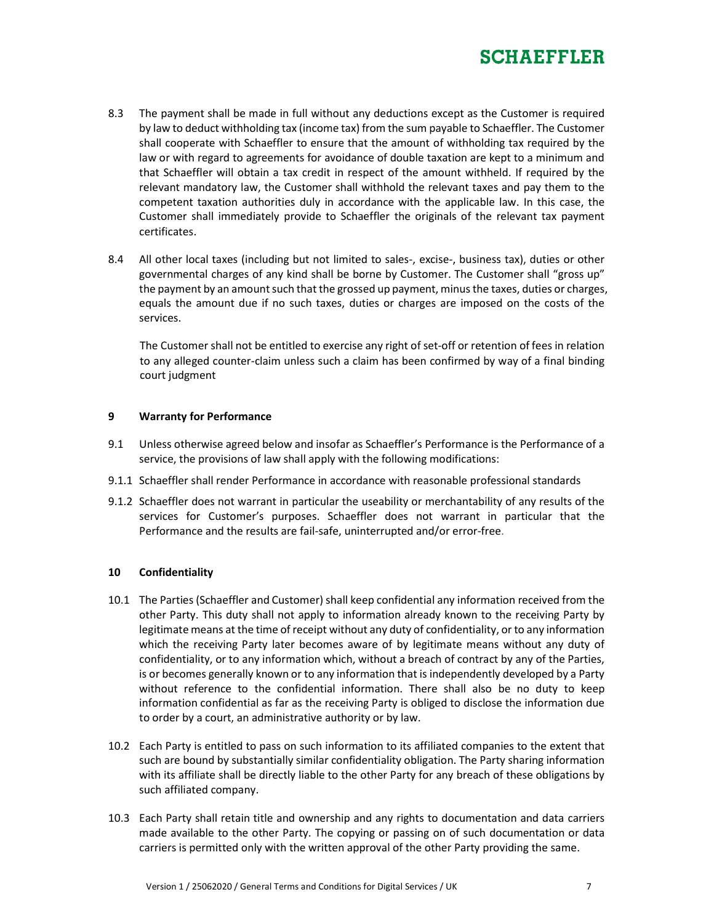- 8.3 The payment shall be made in full without any deductions except as the Customer is required by law to deduct withholding tax (income tax) from the sum payable to Schaeffler. The Customer shall cooperate with Schaeffler to ensure that the amount of withholding tax required by the law or with regard to agreements for avoidance of double taxation are kept to a minimum and that Schaeffler will obtain a tax credit in respect of the amount withheld. If required by the relevant mandatory law, the Customer shall withhold the relevant taxes and pay them to the competent taxation authorities duly in accordance with the applicable law. In this case, the Customer shall immediately provide to Schaeffler the originals of the relevant tax payment certificates.
- 8.4 All other local taxes (including but not limited to sales-, excise-, business tax), duties or other governmental charges of any kind shall be borne by Customer. The Customer shall "gross up" the payment by an amount such that the grossed up payment, minus the taxes, duties or charges, equals the amount due if no such taxes, duties or charges are imposed on the costs of the services.

The Customer shall not be entitled to exercise any right of set-off or retention of fees in relation to any alleged counter-claim unless such a claim has been confirmed by way of a final binding court judgment

## 9 Warranty for Performance

- 9.1 Unless otherwise agreed below and insofar as Schaeffler's Performance is the Performance of a service, the provisions of law shall apply with the following modifications:
- 9.1.1 Schaeffler shall render Performance in accordance with reasonable professional standards
- 9.1.2 Schaeffler does not warrant in particular the useability or merchantability of any results of the services for Customer's purposes. Schaeffler does not warrant in particular that the Performance and the results are fail-safe, uninterrupted and/or error-free.

## 10 Confidentiality

- 10.1 The Parties (Schaeffler and Customer) shall keep confidential any information received from the other Party. This duty shall not apply to information already known to the receiving Party by legitimate means at the time of receipt without any duty of confidentiality, or to any information which the receiving Party later becomes aware of by legitimate means without any duty of confidentiality, or to any information which, without a breach of contract by any of the Parties, is or becomes generally known or to any information that is independently developed by a Party without reference to the confidential information. There shall also be no duty to keep information confidential as far as the receiving Party is obliged to disclose the information due to order by a court, an administrative authority or by law.
- 10.2 Each Party is entitled to pass on such information to its affiliated companies to the extent that such are bound by substantially similar confidentiality obligation. The Party sharing information with its affiliate shall be directly liable to the other Party for any breach of these obligations by such affiliated company.
- 10.3 Each Party shall retain title and ownership and any rights to documentation and data carriers made available to the other Party. The copying or passing on of such documentation or data carriers is permitted only with the written approval of the other Party providing the same.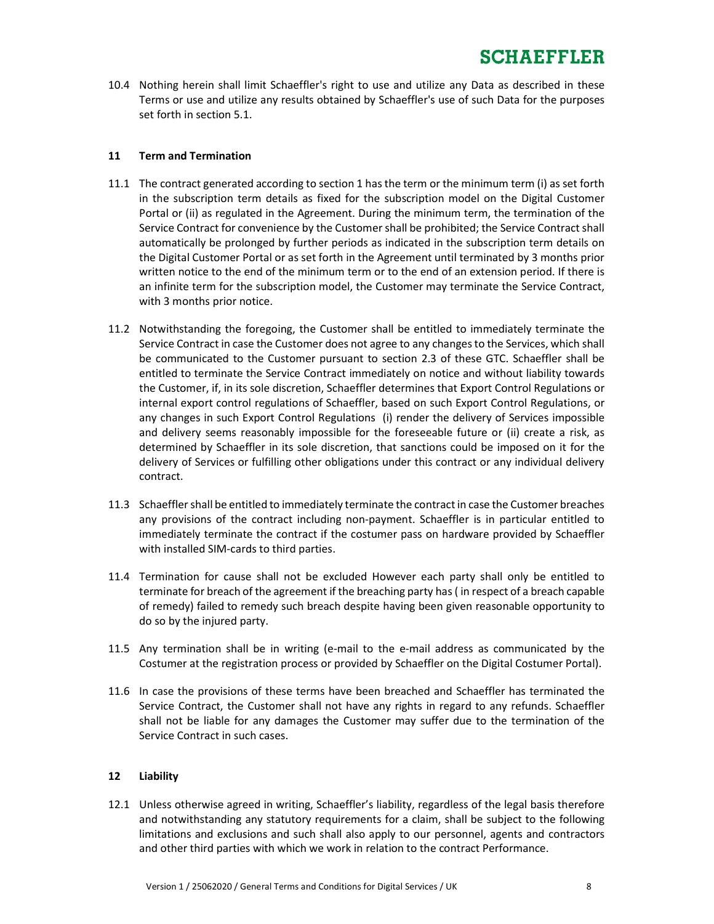10.4 Nothing herein shall limit Schaeffler's right to use and utilize any Data as described in these Terms or use and utilize any results obtained by Schaeffler's use of such Data for the purposes set forth in section 5.1.

## 11 Term and Termination

- 11.1 The contract generated according to section 1 has the term or the minimum term (i) as set forth in the subscription term details as fixed for the subscription model on the Digital Customer Portal or (ii) as regulated in the Agreement. During the minimum term, the termination of the Service Contract for convenience by the Customer shall be prohibited; the Service Contract shall automatically be prolonged by further periods as indicated in the subscription term details on the Digital Customer Portal or as set forth in the Agreement until terminated by 3 months prior written notice to the end of the minimum term or to the end of an extension period. If there is an infinite term for the subscription model, the Customer may terminate the Service Contract, with 3 months prior notice.
- 11.2 Notwithstanding the foregoing, the Customer shall be entitled to immediately terminate the Service Contract in case the Customer does not agree to any changes to the Services, which shall be communicated to the Customer pursuant to section 2.3 of these GTC. Schaeffler shall be entitled to terminate the Service Contract immediately on notice and without liability towards the Customer, if, in its sole discretion, Schaeffler determines that Export Control Regulations or internal export control regulations of Schaeffler, based on such Export Control Regulations, or any changes in such Export Control Regulations (i) render the delivery of Services impossible and delivery seems reasonably impossible for the foreseeable future or (ii) create a risk, as determined by Schaeffler in its sole discretion, that sanctions could be imposed on it for the delivery of Services or fulfilling other obligations under this contract or any individual delivery contract.
- 11.3 Schaeffler shall be entitled to immediately terminate the contract in case the Customer breaches any provisions of the contract including non-payment. Schaeffler is in particular entitled to immediately terminate the contract if the costumer pass on hardware provided by Schaeffler with installed SIM-cards to third parties.
- 11.4 Termination for cause shall not be excluded However each party shall only be entitled to terminate for breach of the agreement if the breaching party has ( in respect of a breach capable of remedy) failed to remedy such breach despite having been given reasonable opportunity to do so by the injured party.
- 11.5 Any termination shall be in writing (e-mail to the e-mail address as communicated by the Costumer at the registration process or provided by Schaeffler on the Digital Costumer Portal).
- 11.6 In case the provisions of these terms have been breached and Schaeffler has terminated the Service Contract, the Customer shall not have any rights in regard to any refunds. Schaeffler shall not be liable for any damages the Customer may suffer due to the termination of the Service Contract in such cases.

### 12 Liability

12.1 Unless otherwise agreed in writing, Schaeffler's liability, regardless of the legal basis therefore and notwithstanding any statutory requirements for a claim, shall be subject to the following limitations and exclusions and such shall also apply to our personnel, agents and contractors and other third parties with which we work in relation to the contract Performance.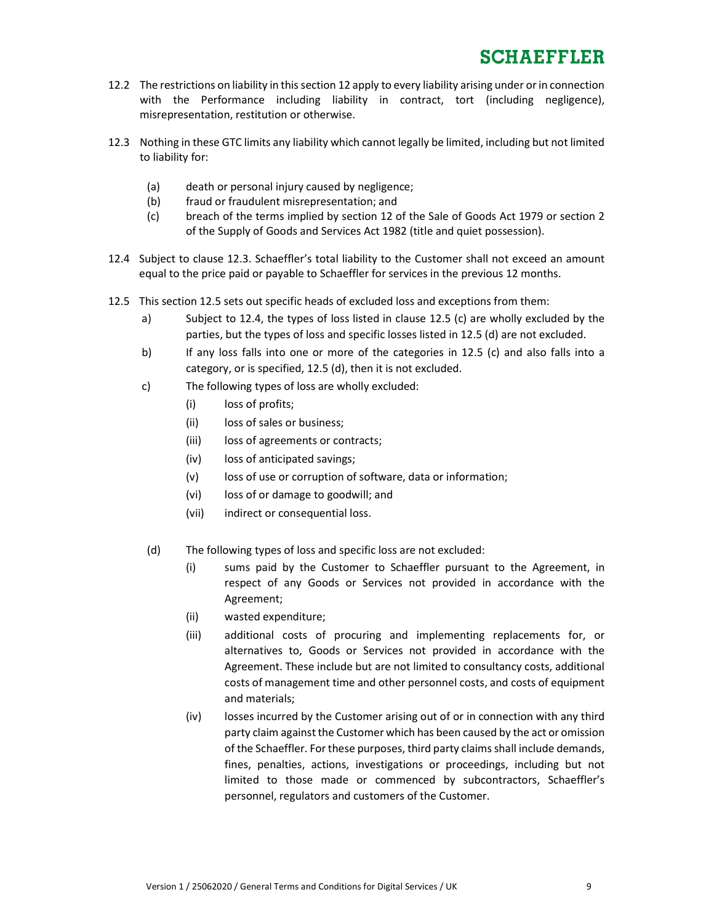- 12.2 The restrictions on liability in this section 12 apply to every liability arising under or in connection with the Performance including liability in contract, tort (including negligence), misrepresentation, restitution or otherwise.
- 12.3 Nothing in these GTC limits any liability which cannot legally be limited, including but not limited to liability for:
	- (a) death or personal injury caused by negligence;
	- (b) fraud or fraudulent misrepresentation; and
	- (c) breach of the terms implied by section 12 of the Sale of Goods Act 1979 or section 2 of the Supply of Goods and Services Act 1982 (title and quiet possession).
- 12.4 Subject to clause 12.3. Schaeffler's total liability to the Customer shall not exceed an amount equal to the price paid or payable to Schaeffler for services in the previous 12 months.
- 12.5 This section 12.5 sets out specific heads of excluded loss and exceptions from them:
	- a) Subject to 12.4, the types of loss listed in clause 12.5 (c) are wholly excluded by the parties, but the types of loss and specific losses listed in 12.5 (d) are not excluded.
	- b) If any loss falls into one or more of the categories in 12.5 (c) and also falls into a category, or is specified, 12.5 (d), then it is not excluded.
	- c) The following types of loss are wholly excluded:
		- (i) loss of profits;
		- (ii) loss of sales or business;
		- (iii) loss of agreements or contracts;
		- (iv) loss of anticipated savings;
		- (v) loss of use or corruption of software, data or information;
		- (vi) loss of or damage to goodwill; and
		- (vii) indirect or consequential loss.
	- (d) The following types of loss and specific loss are not excluded:
		- (i) sums paid by the Customer to Schaeffler pursuant to the Agreement, in respect of any Goods or Services not provided in accordance with the Agreement;
		- (ii) wasted expenditure;
		- (iii) additional costs of procuring and implementing replacements for, or alternatives to, Goods or Services not provided in accordance with the Agreement. These include but are not limited to consultancy costs, additional costs of management time and other personnel costs, and costs of equipment and materials;
		- (iv) losses incurred by the Customer arising out of or in connection with any third party claim against the Customer which has been caused by the act or omission of the Schaeffler. For these purposes, third party claims shall include demands, fines, penalties, actions, investigations or proceedings, including but not limited to those made or commenced by subcontractors, Schaeffler's personnel, regulators and customers of the Customer.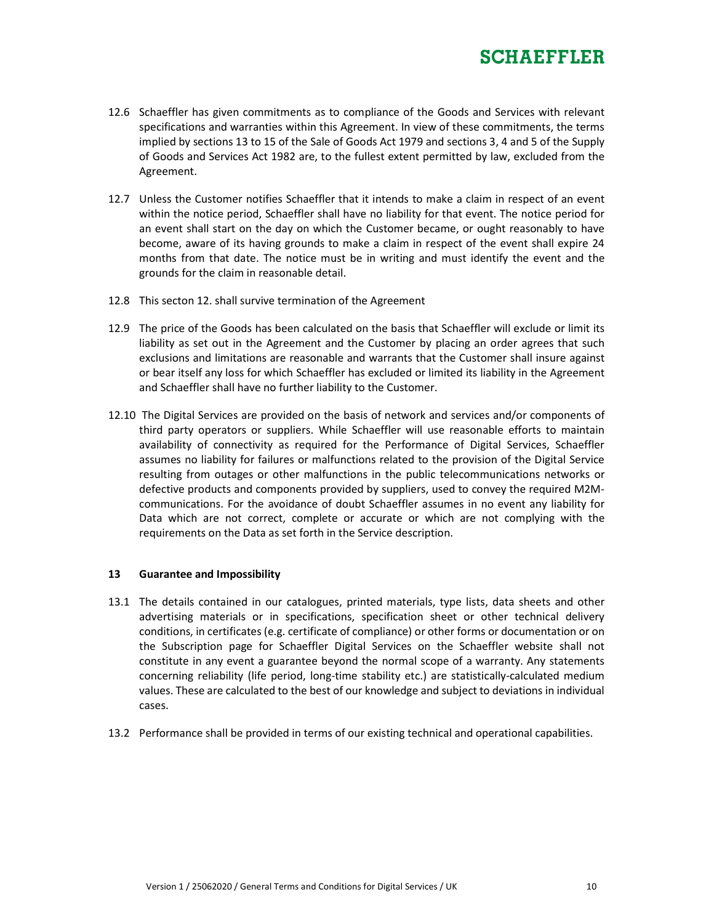- 12.6 Schaeffler has given commitments as to compliance of the Goods and Services with relevant specifications and warranties within this Agreement. In view of these commitments, the terms implied by sections 13 to 15 of the Sale of Goods Act 1979 and sections 3, 4 and 5 of the Supply of Goods and Services Act 1982 are, to the fullest extent permitted by law, excluded from the Agreement.
- 12.7 Unless the Customer notifies Schaeffler that it intends to make a claim in respect of an event within the notice period, Schaeffler shall have no liability for that event. The notice period for an event shall start on the day on which the Customer became, or ought reasonably to have become, aware of its having grounds to make a claim in respect of the event shall expire 24 months from that date. The notice must be in writing and must identify the event and the grounds for the claim in reasonable detail.
- 12.8 This secton 12. shall survive termination of the Agreement
- 12.9 The price of the Goods has been calculated on the basis that Schaeffler will exclude or limit its liability as set out in the Agreement and the Customer by placing an order agrees that such exclusions and limitations are reasonable and warrants that the Customer shall insure against or bear itself any loss for which Schaeffler has excluded or limited its liability in the Agreement and Schaeffler shall have no further liability to the Customer.
- 12.10 The Digital Services are provided on the basis of network and services and/or components of third party operators or suppliers. While Schaeffler will use reasonable efforts to maintain availability of connectivity as required for the Performance of Digital Services, Schaeffler assumes no liability for failures or malfunctions related to the provision of the Digital Service resulting from outages or other malfunctions in the public telecommunications networks or defective products and components provided by suppliers, used to convey the required M2Mcommunications. For the avoidance of doubt Schaeffler assumes in no event any liability for Data which are not correct, complete or accurate or which are not complying with the requirements on the Data as set forth in the Service description.

#### 13 Guarantee and Impossibility

- 13.1 The details contained in our catalogues, printed materials, type lists, data sheets and other advertising materials or in specifications, specification sheet or other technical delivery conditions, in certificates (e.g. certificate of compliance) or other forms or documentation or on the Subscription page for Schaeffler Digital Services on the Schaeffler website shall not constitute in any event a guarantee beyond the normal scope of a warranty. Any statements concerning reliability (life period, long-time stability etc.) are statistically-calculated medium values. These are calculated to the best of our knowledge and subject to deviations in individual cases.
- 13.2 Performance shall be provided in terms of our existing technical and operational capabilities.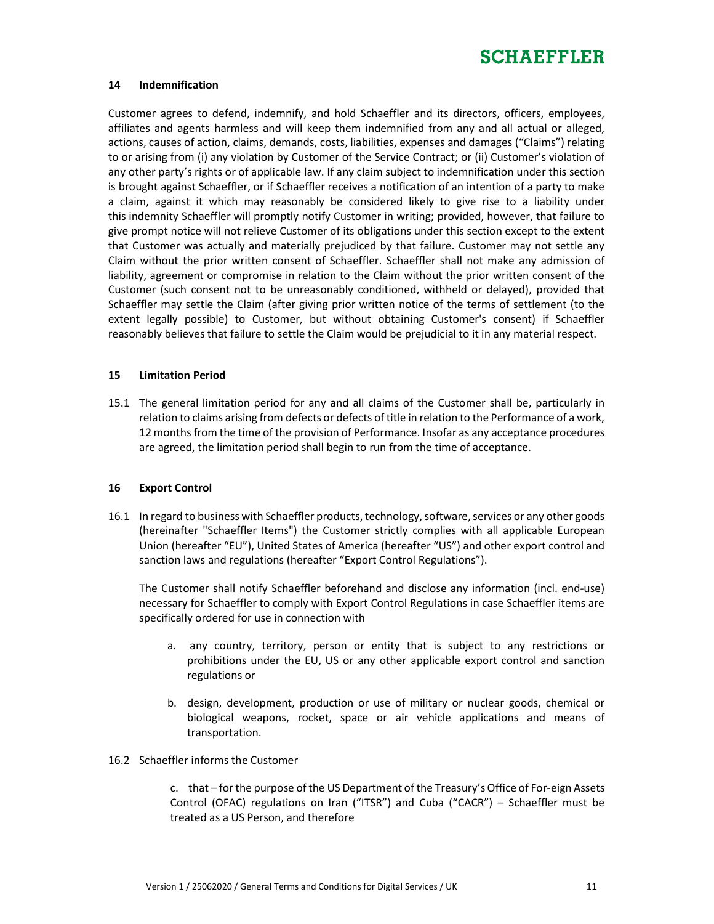### 14 Indemnification

Customer agrees to defend, indemnify, and hold Schaeffler and its directors, officers, employees, affiliates and agents harmless and will keep them indemnified from any and all actual or alleged, actions, causes of action, claims, demands, costs, liabilities, expenses and damages ("Claims") relating to or arising from (i) any violation by Customer of the Service Contract; or (ii) Customer's violation of any other party's rights or of applicable law. If any claim subject to indemnification under this section is brought against Schaeffler, or if Schaeffler receives a notification of an intention of a party to make a claim, against it which may reasonably be considered likely to give rise to a liability under this indemnity Schaeffler will promptly notify Customer in writing; provided, however, that failure to give prompt notice will not relieve Customer of its obligations under this section except to the extent that Customer was actually and materially prejudiced by that failure. Customer may not settle any Claim without the prior written consent of Schaeffler. Schaeffler shall not make any admission of liability, agreement or compromise in relation to the Claim without the prior written consent of the Customer (such consent not to be unreasonably conditioned, withheld or delayed), provided that Schaeffler may settle the Claim (after giving prior written notice of the terms of settlement (to the extent legally possible) to Customer, but without obtaining Customer's consent) if Schaeffler reasonably believes that failure to settle the Claim would be prejudicial to it in any material respect.

### 15 Limitation Period

15.1 The general limitation period for any and all claims of the Customer shall be, particularly in relation to claims arising from defects or defects of title in relation to the Performance of a work, 12 months from the time of the provision of Performance. Insofar as any acceptance procedures are agreed, the limitation period shall begin to run from the time of acceptance.

## 16 Export Control

16.1 In regard to business with Schaeffler products, technology, software, services or any other goods (hereinafter "Schaeffler Items") the Customer strictly complies with all applicable European Union (hereafter "EU"), United States of America (hereafter "US") and other export control and sanction laws and regulations (hereafter "Export Control Regulations").

The Customer shall notify Schaeffler beforehand and disclose any information (incl. end-use) necessary for Schaeffler to comply with Export Control Regulations in case Schaeffler items are specifically ordered for use in connection with

- a. any country, territory, person or entity that is subject to any restrictions or prohibitions under the EU, US or any other applicable export control and sanction regulations or
- b. design, development, production or use of military or nuclear goods, chemical or biological weapons, rocket, space or air vehicle applications and means of transportation.
- 16.2 Schaeffler informs the Customer

c. that – for the purpose of the US Department of the Treasury's Office of For-eign Assets Control (OFAC) regulations on Iran ("ITSR") and Cuba ("CACR") – Schaeffler must be treated as a US Person, and therefore